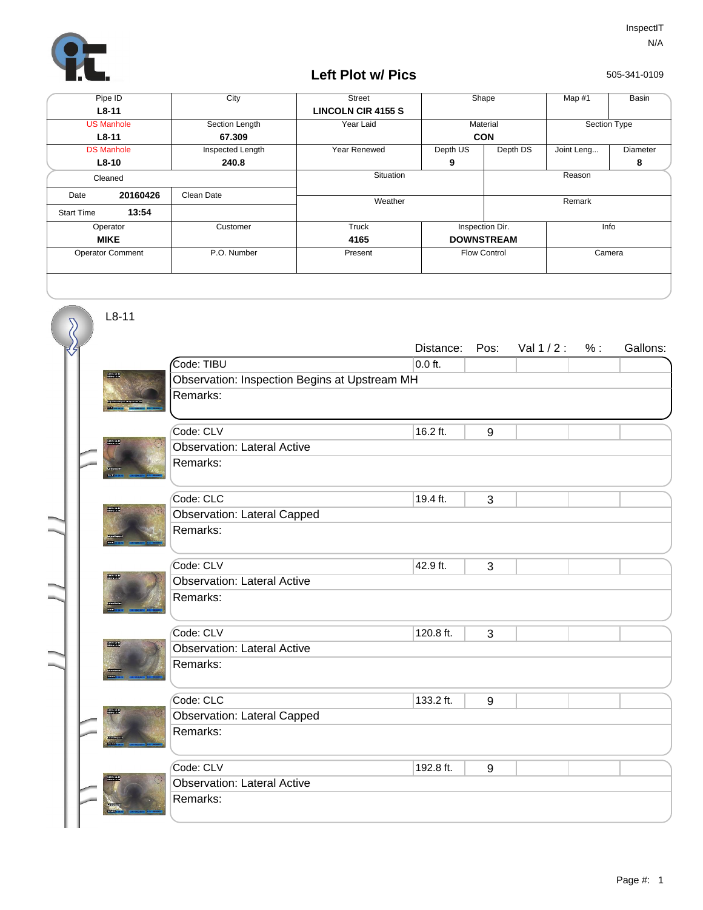

L8-11

## **Left Plot w/ Pics**

505-341-0109

| Pipe ID                 |          | City             | <b>Street</b>             | Shape               |          | Map #1       | Basin    |  |
|-------------------------|----------|------------------|---------------------------|---------------------|----------|--------------|----------|--|
| $L8-11$                 |          |                  | <b>LINCOLN CIR 4155 S</b> |                     |          |              |          |  |
| <b>US Manhole</b>       |          | Section Length   | Year Laid                 | Material            |          | Section Type |          |  |
| $L8-11$                 |          | 67.309           |                           | <b>CON</b>          |          |              |          |  |
| <b>DS Manhole</b>       |          | Inspected Length | Year Renewed              | Depth US            | Depth DS | Joint Leng   | Diameter |  |
| $L8-10$                 |          | 240.8            |                           | 9                   |          |              | 8        |  |
| Cleaned                 |          |                  | Situation                 |                     |          | Reason       |          |  |
| Date                    | 20160426 | Clean Date       | Weather                   |                     |          | Remark       |          |  |
| <b>Start Time</b>       | 13:54    |                  |                           |                     |          |              |          |  |
| Operator                |          | Customer         | Truck                     | Inspection Dir.     |          | Info         |          |  |
| <b>MIKE</b>             |          |                  | 4165                      | <b>DOWNSTREAM</b>   |          |              |          |  |
| <b>Operator Comment</b> |          | P.O. Number      | Present                   | <b>Flow Control</b> |          | Camera       |          |  |
|                         |          |                  |                           |                     |          |              |          |  |

Distance: Pos: Val 1/2: %: Gallons: Code: TIBU Observation: Inspection Begins at Upstream MH  $0.0$  ft. Remarks:  $\text{Code: CLV}$  16.2 ft. 9 Observation: Lateral Active 16.2 ft. Remarks: Prode: CLC 3 Observation: Lateral Capped 19.4 ft. Remarks:  $\text{Code:}$  CLV  $\qquad \qquad \text{42.9 ft.} \qquad \qquad \text{3}$ Observation: Lateral Active 42.9 ft. Remarks: Prode: CLV 120.8 ft. 3 Observation: Lateral Active 120.8 ft. Remarks: **Code: CLC** 133.2 ft. 9 Observation: Lateral Capped 133.2 ft. Remarks: Prode: CLV 192.8 ft. 9 Observation: Lateral Active 192.8 ft. Remarks: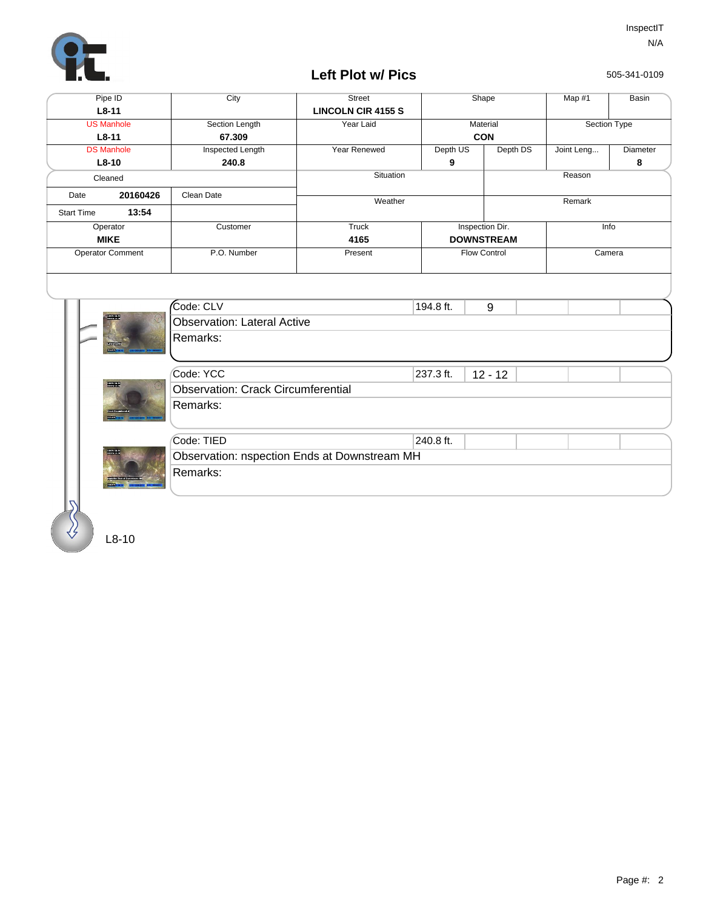

## **Left Plot w/ Pics**

505-341-0109

| Section Length<br>Inspected Length<br>Customer | <b>LINCOLN CIR 4155 S</b><br>Year Laid<br>Year Renewed<br>Situation<br>Weather | Depth US<br>9       | Material<br><b>CON</b><br>Depth DS | Section Type<br>Joint Leng<br>Reason | Diameter<br>8 |  |  |
|------------------------------------------------|--------------------------------------------------------------------------------|---------------------|------------------------------------|--------------------------------------|---------------|--|--|
|                                                |                                                                                |                     |                                    |                                      |               |  |  |
|                                                |                                                                                |                     |                                    |                                      |               |  |  |
|                                                |                                                                                |                     |                                    |                                      |               |  |  |
|                                                |                                                                                |                     |                                    |                                      |               |  |  |
|                                                |                                                                                |                     |                                    |                                      |               |  |  |
|                                                |                                                                                |                     |                                    |                                      |               |  |  |
|                                                |                                                                                |                     |                                    | Remark                               |               |  |  |
|                                                |                                                                                |                     |                                    |                                      |               |  |  |
|                                                | <b>Truck</b>                                                                   | Inspection Dir.     |                                    | Info                                 |               |  |  |
|                                                | 4165                                                                           | <b>DOWNSTREAM</b>   |                                    |                                      |               |  |  |
| P.O. Number                                    | Present                                                                        | <b>Flow Control</b> |                                    | Camera                               |               |  |  |
| <b>Observation: Lateral Active</b><br>Remarks: |                                                                                |                     |                                    |                                      |               |  |  |
|                                                |                                                                                | 237.3 ft.           | $12 - 12$                          |                                      |               |  |  |
| <b>Observation: Crack Circumferential</b>      |                                                                                |                     |                                    |                                      |               |  |  |
| Remarks:                                       |                                                                                |                     |                                    |                                      |               |  |  |
|                                                |                                                                                |                     |                                    |                                      |               |  |  |
| Observation: nspection Ends at Downstream MH   |                                                                                |                     |                                    |                                      |               |  |  |
| Remarks:                                       |                                                                                |                     |                                    |                                      |               |  |  |
|                                                |                                                                                |                     | 240.8 ft.                          |                                      |               |  |  |

L8-10

 $\mathcal{S}$